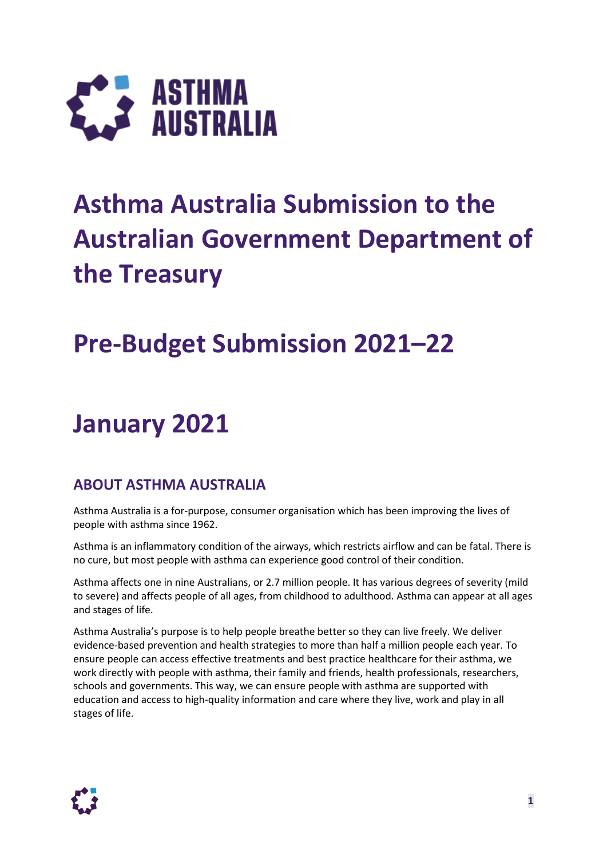

# **Asthma Australia Submission to the Australian Government Department of the Treasury**

# **Pre-Budget Submission 2021–22**

# **January 2021**

### **ABOUT ASTHMA AUSTRALIA**

Asthma Australia is a for-purpose, consumer organisation which has been improving the lives of people with asthma since 1962.

Asthma is an inflammatory condition of the airways, which restricts airflow and can be fatal. There is no cure, but most people with asthma can experience good control of their condition.

Asthma affects one in nine Australians, or 2.7 million people. It has various degrees of severity (mild to severe) and affects people of all ages, from childhood to adulthood. Asthma can appear at all ages and stages of life.

Asthma Australia's purpose is to help people breathe better so they can live freely. We deliver evidence-based prevention and health strategies to more than half a million people each year. To ensure people can access effective treatments and best practice healthcare for their asthma, we work directly with people with asthma, their family and friends, health professionals, researchers, schools and governments. This way, we can ensure people with asthma are supported with education and access to high-quality information and care where they live, work and play in all stages of life.

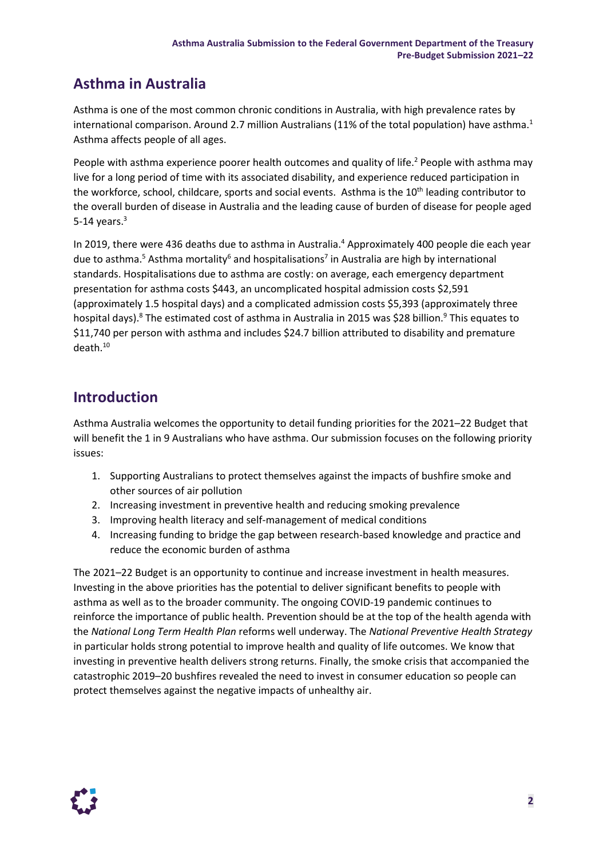## **Asthma in Australia**

Asthma is one of the most common chronic conditions in Australia, with high prevalence rates by international comparison. Around 2.7 million Australians (11% of the total population) have asthma.<sup>1</sup> Asthma affects people of all ages.

People with asthma experience poorer health outcomes and quality of life.<sup>2</sup> People with asthma may live for a long period of time with its associated disability, and experience reduced participation in the workforce, school, childcare, sports and social events. Asthma is the 10<sup>th</sup> leading contributor to the overall burden of disease in Australia and the leading cause of burden of disease for people aged 5-14 years. $3$ 

In 2019, there were 436 deaths due to asthma in Australia.<sup>4</sup> Approximately 400 people die each year due to asthma.<sup>5</sup> Asthma mortality<sup>6</sup> and hospitalisations<sup>7</sup> in Australia are high by international standards. Hospitalisations due to asthma are costly: on average, each emergency department presentation for asthma costs \$443, an uncomplicated hospital admission costs \$2,591 (approximately 1.5 hospital days) and a complicated admission costs \$5,393 (approximately three hospital days).<sup>8</sup> The estimated cost of asthma in Australia in 2015 was \$28 billion.<sup>9</sup> This equates to \$11,740 per person with asthma and includes \$24.7 billion attributed to disability and premature death. 10

### **Introduction**

Asthma Australia welcomes the opportunity to detail funding priorities for the 2021–22 Budget that will benefit the 1 in 9 Australians who have asthma. Our submission focuses on the following priority issues:

- 1. Supporting Australians to protect themselves against the impacts of bushfire smoke and other sources of air pollution
- 2. Increasing investment in preventive health and reducing smoking prevalence
- 3. Improving health literacy and self-management of medical conditions
- 4. Increasing funding to bridge the gap between research-based knowledge and practice and reduce the economic burden of asthma

The 2021–22 Budget is an opportunity to continue and increase investment in health measures. Investing in the above priorities has the potential to deliver significant benefits to people with asthma as well as to the broader community. The ongoing COVID-19 pandemic continues to reinforce the importance of public health. Prevention should be at the top of the health agenda with the *National Long Term Health Plan* reforms well underway. The *National Preventive Health Strategy* in particular holds strong potential to improve health and quality of life outcomes. We know that investing in preventive health delivers strong returns. Finally, the smoke crisis that accompanied the catastrophic 2019–20 bushfires revealed the need to invest in consumer education so people can protect themselves against the negative impacts of unhealthy air.

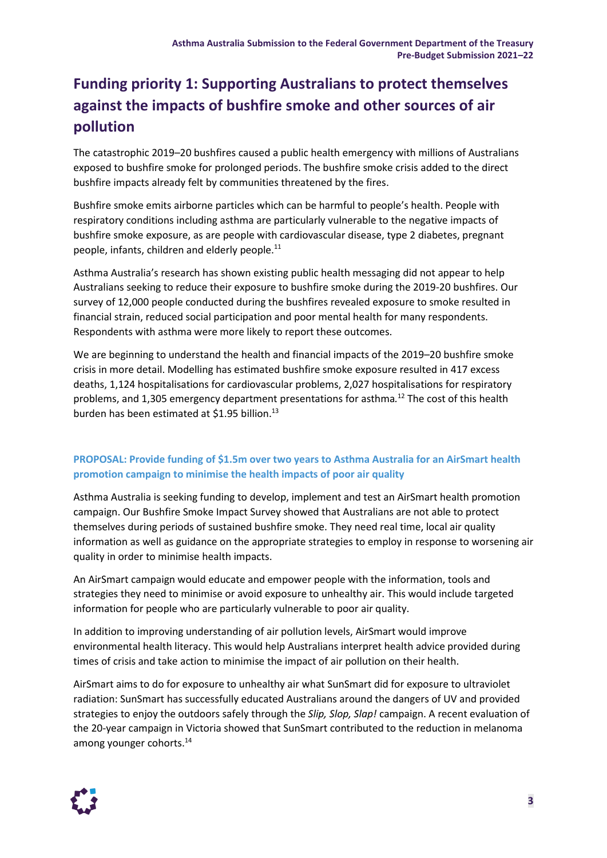# **Funding priority 1: Supporting Australians to protect themselves against the impacts of bushfire smoke and other sources of air pollution**

The catastrophic 2019–20 bushfires caused a public health emergency with millions of Australians exposed to bushfire smoke for prolonged periods. The bushfire smoke crisis added to the direct bushfire impacts already felt by communities threatened by the fires.

Bushfire smoke emits airborne particles which can be harmful to people's health. People with respiratory conditions including asthma are particularly vulnerable to the negative impacts of bushfire smoke exposure, as are people with cardiovascular disease, type 2 diabetes, pregnant people, infants, children and elderly people.<sup>11</sup>

Asthma Australia's research has shown existing public health messaging did not appear to help Australians seeking to reduce their exposure to bushfire smoke during the 2019-20 bushfires. Our survey of 12,000 people conducted during the bushfires revealed exposure to smoke resulted in financial strain, reduced social participation and poor mental health for many respondents. Respondents with asthma were more likely to report these outcomes.

We are beginning to understand the health and financial impacts of the 2019–20 bushfire smoke crisis in more detail. Modelling has estimated bushfire smoke exposure resulted in 417 excess deaths, 1,124 hospitalisations for cardiovascular problems, 2,027 hospitalisations for respiratory problems, and 1,305 emergency department presentations for asthma*.* <sup>12</sup> The cost of this health burden has been estimated at \$1.95 billion.<sup>13</sup>

### **PROPOSAL: Provide funding of \$1.5m over two years to Asthma Australia for an AirSmart health promotion campaign to minimise the health impacts of poor air quality**

Asthma Australia is seeking funding to develop, implement and test an AirSmart health promotion campaign. Our Bushfire Smoke Impact Survey showed that Australians are not able to protect themselves during periods of sustained bushfire smoke. They need real time, local air quality information as well as guidance on the appropriate strategies to employ in response to worsening air quality in order to minimise health impacts.

An AirSmart campaign would educate and empower people with the information, tools and strategies they need to minimise or avoid exposure to unhealthy air. This would include targeted information for people who are particularly vulnerable to poor air quality.

In addition to improving understanding of air pollution levels, AirSmart would improve environmental health literacy. This would help Australians interpret health advice provided during times of crisis and take action to minimise the impact of air pollution on their health.

AirSmart aims to do for exposure to unhealthy air what SunSmart did for exposure to ultraviolet radiation: SunSmart has successfully educated Australians around the dangers of UV and provided strategies to enjoy the outdoors safely through the *Slip, Slop, Slap!* campaign. A recent evaluation of the 20-year campaign in Victoria showed that SunSmart contributed to the reduction in melanoma among younger cohorts.<sup>14</sup>

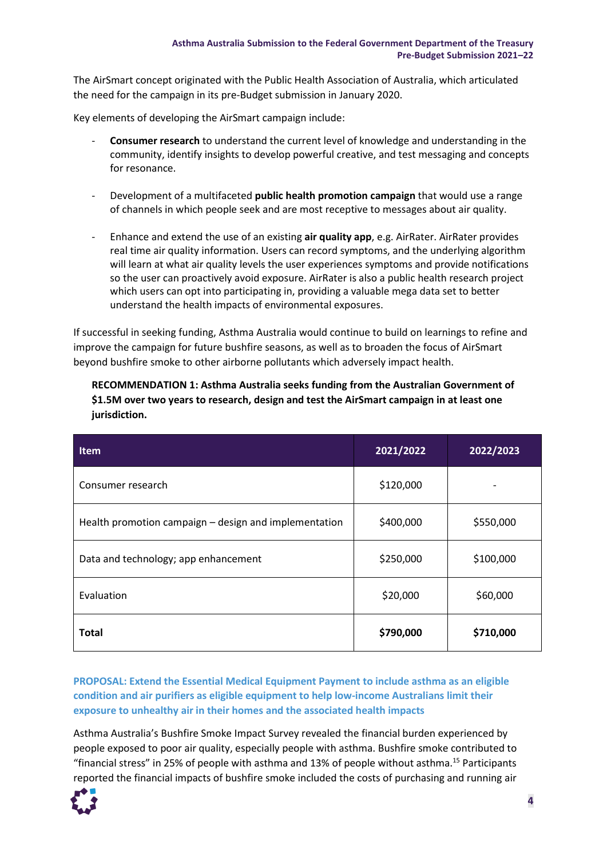The AirSmart concept originated with the Public Health Association of Australia, which articulated the need for the campaign in its pre-Budget submission in January 2020.

Key elements of developing the AirSmart campaign include:

- **Consumer research** to understand the current level of knowledge and understanding in the community, identify insights to develop powerful creative, and test messaging and concepts for resonance.
- Development of a multifaceted **public health promotion campaign** that would use a range of channels in which people seek and are most receptive to messages about air quality.
- Enhance and extend the use of an existing **air quality app**, e.g. AirRater. AirRater provides real time air quality information. Users can record symptoms, and the underlying algorithm will learn at what air quality levels the user experiences symptoms and provide notifications so the user can proactively avoid exposure. AirRater is also a public health research project which users can opt into participating in, providing a valuable mega data set to better understand the health impacts of environmental exposures.

If successful in seeking funding, Asthma Australia would continue to build on learnings to refine and improve the campaign for future bushfire seasons, as well as to broaden the focus of AirSmart beyond bushfire smoke to other airborne pollutants which adversely impact health.

**RECOMMENDATION 1: Asthma Australia seeks funding from the Australian Government of \$1.5M over two years to research, design and test the AirSmart campaign in at least one jurisdiction.**

| <b>Item</b>                                           | 2021/2022 | 2022/2023 |
|-------------------------------------------------------|-----------|-----------|
| Consumer research                                     | \$120,000 |           |
| Health promotion campaign – design and implementation | \$400,000 | \$550,000 |
| Data and technology; app enhancement                  | \$250,000 | \$100,000 |
| Evaluation                                            | \$20,000  | \$60,000  |
| <b>Total</b>                                          | \$790,000 | \$710,000 |

**PROPOSAL: Extend the Essential Medical Equipment Payment to include asthma as an eligible condition and air purifiers as eligible equipment to help low-income Australians limit their exposure to unhealthy air in their homes and the associated health impacts** 

Asthma Australia's Bushfire Smoke Impact Survey revealed the financial burden experienced by people exposed to poor air quality, especially people with asthma. Bushfire smoke contributed to "financial stress" in 25% of people with asthma and 13% of people without asthma.<sup>15</sup> Participants reported the financial impacts of bushfire smoke included the costs of purchasing and running air

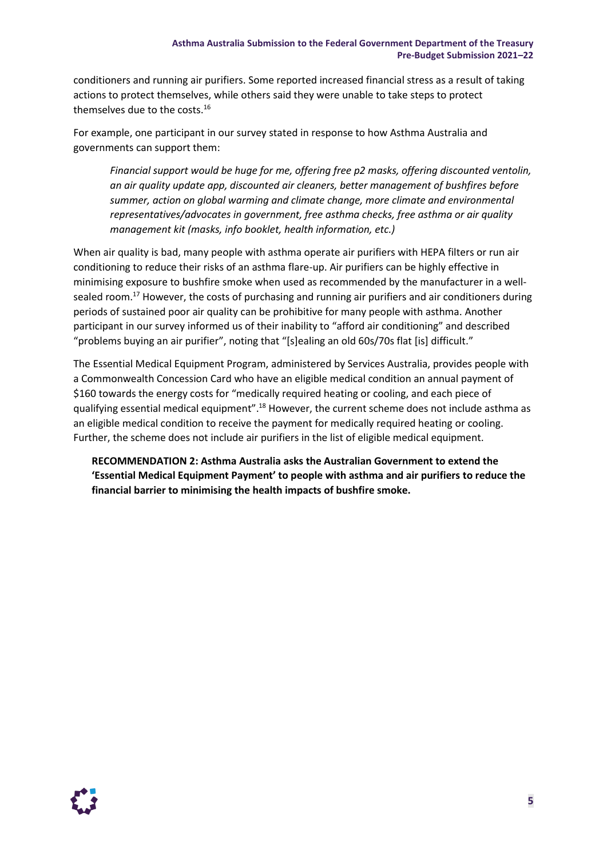conditioners and running air purifiers. Some reported increased financial stress as a result of taking actions to protect themselves, while others said they were unable to take steps to protect themselves due to the costs. 16

For example, one participant in our survey stated in response to how Asthma Australia and governments can support them:

*Financial support would be huge for me, offering free p2 masks, offering discounted ventolin, an air quality update app, discounted air cleaners, better management of bushfires before summer, action on global warming and climate change, more climate and environmental representatives/advocates in government, free asthma checks, free asthma or air quality management kit (masks, info booklet, health information, etc.)*

When air quality is bad, many people with asthma operate air purifiers with HEPA filters or run air conditioning to reduce their risks of an asthma flare-up. Air purifiers can be highly effective in minimising exposure to bushfire smoke when used as recommended by the manufacturer in a wellsealed room.<sup>17</sup> However, the costs of purchasing and running air purifiers and air conditioners during periods of sustained poor air quality can be prohibitive for many people with asthma. Another participant in our survey informed us of their inability to "afford air conditioning" and described "problems buying an air purifier", noting that "[s]ealing an old 60s/70s flat [is] difficult."

The Essential Medical Equipment Program, administered by Services Australia, provides people with a Commonwealth Concession Card who have an eligible medical condition an annual payment of \$160 towards the energy costs for "medically required heating or cooling, and each piece of qualifying essential medical equipment".<sup>18</sup> However, the current scheme does not include asthma as an eligible medical condition to receive the payment for medically required heating or cooling. Further, the scheme does not include air purifiers in the list of eligible medical equipment.

**RECOMMENDATION 2: Asthma Australia asks the Australian Government to extend the 'Essential Medical Equipment Payment' to people with asthma and air purifiers to reduce the financial barrier to minimising the health impacts of bushfire smoke.**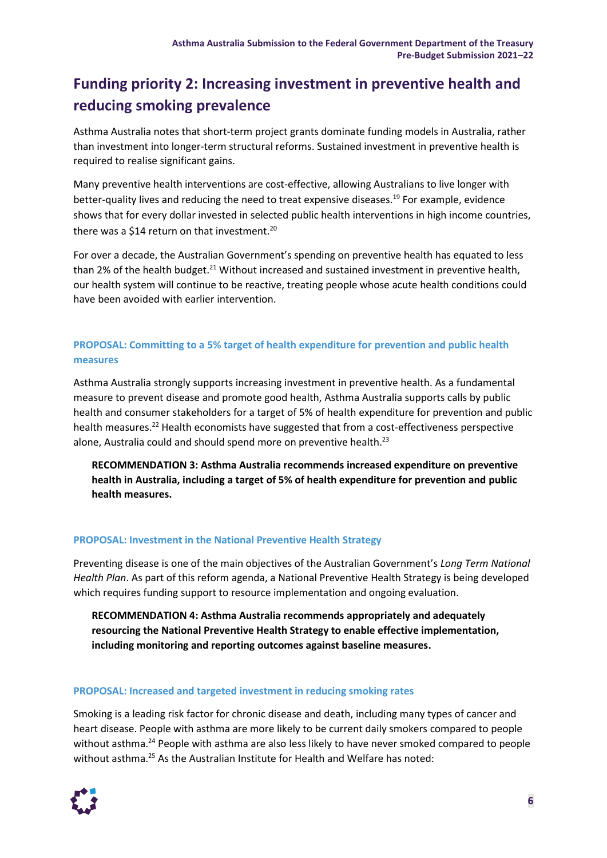## **Funding priority 2: Increasing investment in preventive health and reducing smoking prevalence**

Asthma Australia notes that short-term project grants dominate funding models in Australia, rather than investment into longer-term structural reforms. Sustained investment in preventive health is required to realise significant gains.

Many preventive health interventions are cost-effective, allowing Australians to live longer with better-quality lives and reducing the need to treat expensive diseases. <sup>19</sup> For example, evidence shows that for every dollar invested in selected public health interventions in high income countries, there was a \$14 return on that investment.<sup>20</sup>

For over a decade, the Australian Government's spending on preventive health has equated to less than 2% of the health budget.<sup>21</sup> Without increased and sustained investment in preventive health, our health system will continue to be reactive, treating people whose acute health conditions could have been avoided with earlier intervention.

### **PROPOSAL: Committing to a 5% target of health expenditure for prevention and public health measures**

Asthma Australia strongly supports increasing investment in preventive health. As a fundamental measure to prevent disease and promote good health, Asthma Australia supports calls by public health and consumer stakeholders for a target of 5% of health expenditure for prevention and public health measures.<sup>22</sup> Health economists have suggested that from a cost-effectiveness perspective alone, Australia could and should spend more on preventive health.<sup>23</sup>

**RECOMMENDATION 3: Asthma Australia recommends increased expenditure on preventive health in Australia, including a target of 5% of health expenditure for prevention and public health measures.**

### **PROPOSAL: Investment in the National Preventive Health Strategy**

Preventing disease is one of the main objectives of the Australian Government's *Long Term National Health Plan*. As part of this reform agenda, a National Preventive Health Strategy is being developed which requires funding support to resource implementation and ongoing evaluation.

**RECOMMENDATION 4: Asthma Australia recommends appropriately and adequately resourcing the National Preventive Health Strategy to enable effective implementation, including monitoring and reporting outcomes against baseline measures.**

#### **PROPOSAL: Increased and targeted investment in reducing smoking rates**

Smoking is a leading risk factor for chronic disease and death, including many types of cancer and heart disease. People with asthma are more likely to be current daily smokers compared to people without asthma.<sup>24</sup> People with asthma are also less likely to have never smoked compared to people without asthma.<sup>25</sup> As the Australian Institute for Health and Welfare has noted:

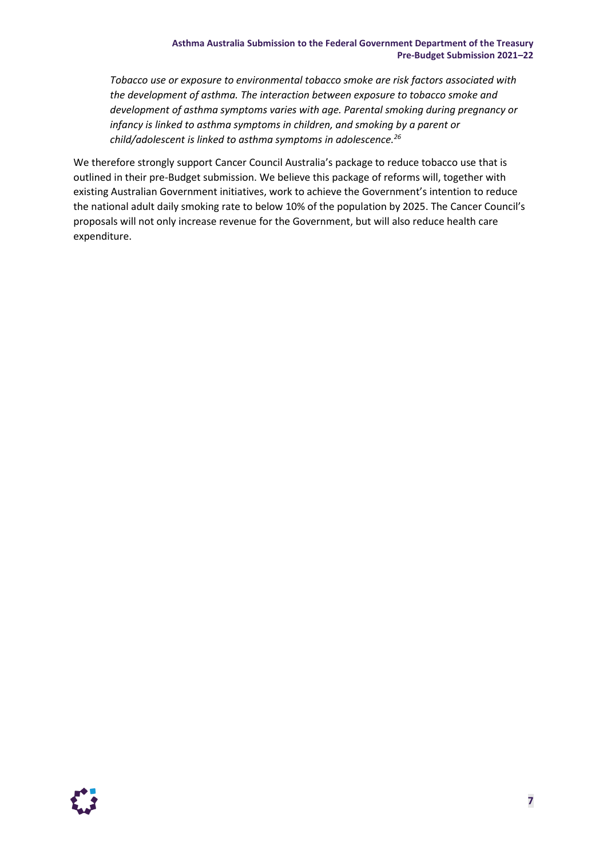*Tobacco use or exposure to environmental tobacco smoke are risk factors associated with the development of asthma. The interaction between exposure to tobacco smoke and development of asthma symptoms varies with age. Parental smoking during pregnancy or infancy is linked to asthma symptoms in children, and smoking by a parent or child/adolescent is linked to asthma symptoms in adolescence. 26*

We therefore strongly support Cancer Council Australia's package to reduce tobacco use that is outlined in their pre-Budget submission. We believe this package of reforms will, together with existing Australian Government initiatives, work to achieve the Government's intention to reduce the national adult daily smoking rate to below 10% of the population by 2025. The Cancer Council's proposals will not only increase revenue for the Government, but will also reduce health care expenditure.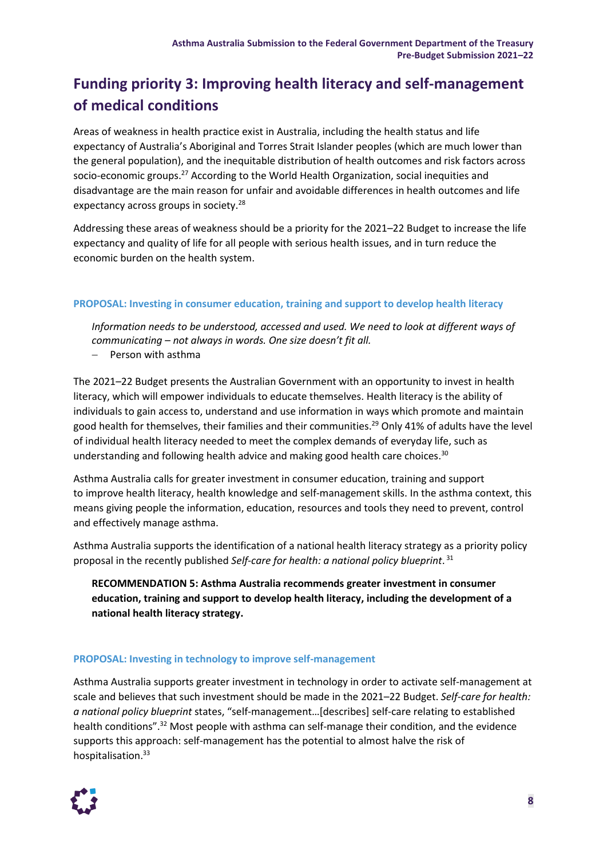# **Funding priority 3: Improving health literacy and self-management of medical conditions**

Areas of weakness in health practice exist in Australia, including the health status and life expectancy of Australia's Aboriginal and Torres Strait Islander peoples (which are much lower than the general population), and the inequitable distribution of health outcomes and risk factors across socio-economic groups.<sup>27</sup> According to the World Health Organization, social inequities and disadvantage are the main reason for unfair and avoidable differences in health outcomes and life expectancy across groups in society.<sup>28</sup>

Addressing these areas of weakness should be a priority for the 2021–22 Budget to increase the life expectancy and quality of life for all people with serious health issues, and in turn reduce the economic burden on the health system.

#### **PROPOSAL: Investing in consumer education, training and support to develop health literacy**

*Information needs to be understood, accessed and used. We need to look at different ways of communicating – not always in words. One size doesn't fit all.*

− Person with asthma

The 2021–22 Budget presents the Australian Government with an opportunity to invest in health literacy, which will empower individuals to educate themselves. Health literacy is the ability of individuals to gain access to, understand and use information in ways which promote and maintain good health for themselves, their families and their communities. <sup>29</sup> Only 41% of adults have the level of individual health literacy needed to meet the complex demands of everyday life, such as understanding and following health advice and making good health care choices. 30

Asthma Australia calls for greater investment in consumer education, training and support to improve health literacy, health knowledge and self-management skills. In the asthma context, this means giving people the information, education, resources and tools they need to prevent, control and effectively manage asthma.

Asthma Australia supports the identification of a national health literacy strategy as a priority policy proposal in the recently published *Self-care for health: a national policy blueprint*. 31

**RECOMMENDATION 5: Asthma Australia recommends greater investment in consumer education, training and support to develop health literacy, including the development of a national health literacy strategy.**

### **PROPOSAL: Investing in technology to improve self-management**

Asthma Australia supports greater investment in technology in order to activate self-management at scale and believes that such investment should be made in the 2021–22 Budget. *Self-care for health: a national policy blueprint* states, "self-management…[describes] self-care relating to established health conditions".<sup>32</sup> Most people with asthma can self-manage their condition, and the evidence supports this approach: self-management has the potential to almost halve the risk of hospitalisation. 33

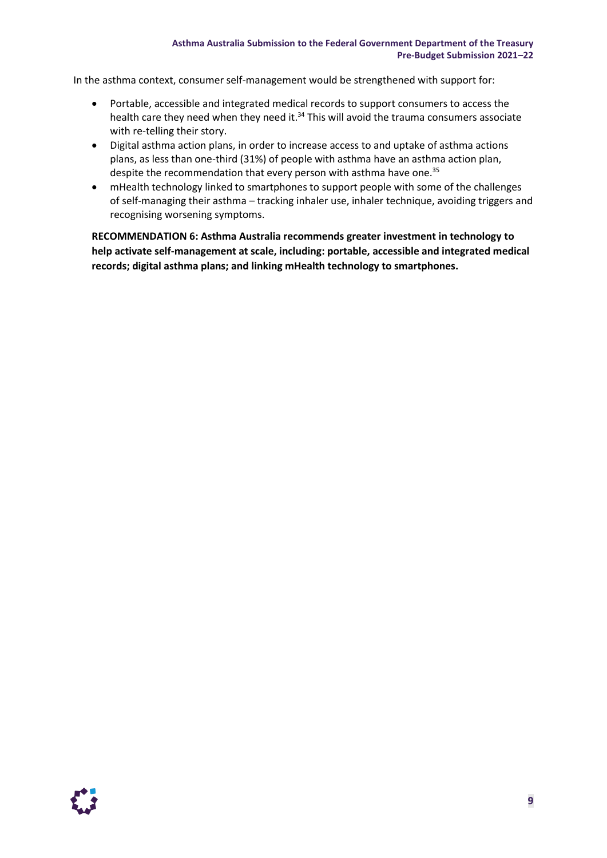#### **Asthma Australia Submission to the Federal Government Department of the Treasury Pre-Budget Submission 2021–22**

In the asthma context, consumer self-management would be strengthened with support for:

- Portable, accessible and integrated medical records to support consumers to access the health care they need when they need it.<sup>34</sup> This will avoid the trauma consumers associate with re-telling their story.
- Digital asthma action plans, in order to increase access to and uptake of asthma actions plans, as less than one-third (31%) of people with asthma have an asthma action plan, despite the recommendation that every person with asthma have one. 35
- mHealth technology linked to smartphones to support people with some of the challenges of self-managing their asthma – tracking inhaler use, inhaler technique, avoiding triggers and recognising worsening symptoms.

**RECOMMENDATION 6: Asthma Australia recommends greater investment in technology to help activate self-management at scale, including: portable, accessible and integrated medical records; digital asthma plans; and linking mHealth technology to smartphones.**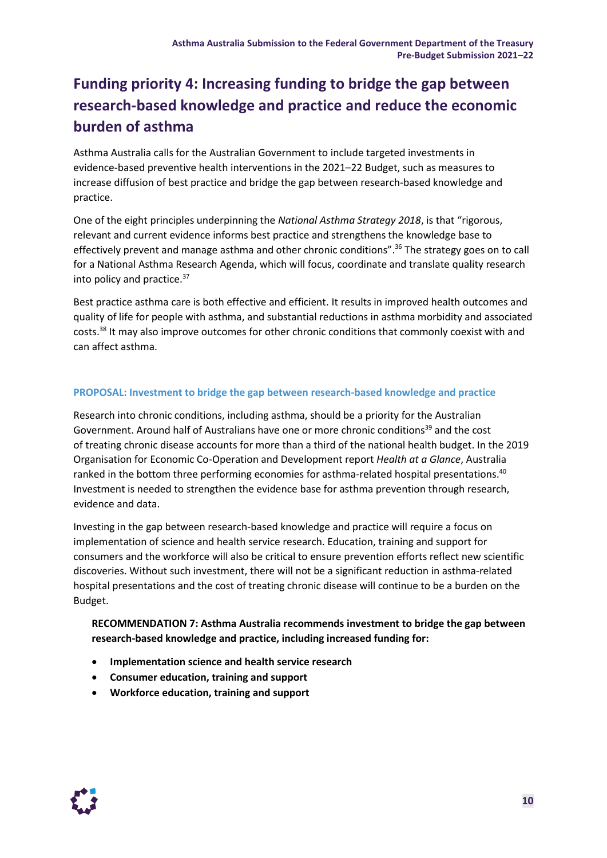# **Funding priority 4: Increasing funding to bridge the gap between research-based knowledge and practice and reduce the economic burden of asthma**

Asthma Australia calls for the Australian Government to include targeted investments in evidence-based preventive health interventions in the 2021–22 Budget, such as measures to increase diffusion of best practice and bridge the gap between research-based knowledge and practice.

One of the eight principles underpinning the *National Asthma Strategy 2018*, is that "rigorous, relevant and current evidence informs best practice and strengthens the knowledge base to effectively prevent and manage asthma and other chronic conditions".<sup>36</sup> The strategy goes on to call for a National Asthma Research Agenda, which will focus, coordinate and translate quality research into policy and practice.<sup>37</sup>

Best practice asthma care is both effective and efficient. It results in improved health outcomes and quality of life for people with asthma, and substantial reductions in asthma morbidity and associated costs.<sup>38</sup> It may also improve outcomes for other chronic conditions that commonly coexist with and can affect asthma.

#### **PROPOSAL: Investment to bridge the gap between research-based knowledge and practice**

Research into chronic conditions, including asthma, should be a priority for the Australian Government. Around half of Australians have one or more chronic conditions<sup>39</sup> and the cost of treating chronic disease accounts for more than a third of the national health budget. In the 2019 Organisation for Economic Co-Operation and Development report *Health at a Glance*, Australia ranked in the bottom three performing economies for asthma-related hospital presentations.<sup>40</sup> Investment is needed to strengthen the evidence base for asthma prevention through research, evidence and data.

Investing in the gap between research-based knowledge and practice will require a focus on implementation of science and health service research. Education, training and support for consumers and the workforce will also be critical to ensure prevention efforts reflect new scientific discoveries. Without such investment, there will not be a significant reduction in asthma-related hospital presentations and the cost of treating chronic disease will continue to be a burden on the Budget.

### **RECOMMENDATION 7: Asthma Australia recommends investment to bridge the gap between research-based knowledge and practice, including increased funding for:**

- **Implementation science and health service research**
- **Consumer education, training and support**
- **Workforce education, training and support**

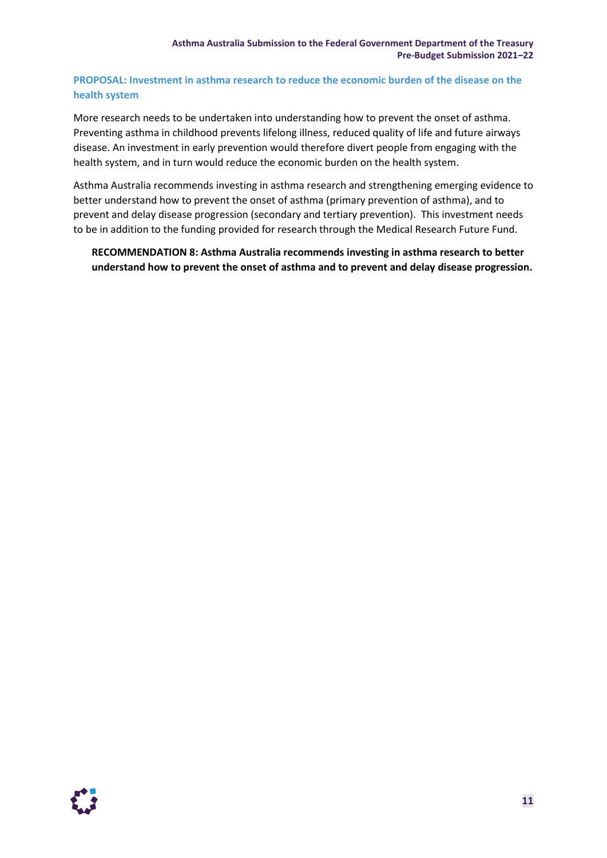### **PROPOSAL: Investment in asthma research to reduce the economic burden of the disease on the health system**

More research needs to be undertaken into understanding how to prevent the onset of asthma. Preventing asthma in childhood prevents lifelong illness, reduced quality of life and future airways disease. An investment in early prevention would therefore divert people from engaging with the health system, and in turn would reduce the economic burden on the health system.

Asthma Australia recommends investing in asthma research and strengthening emerging evidence to better understand how to prevent the onset of asthma (primary prevention of asthma), and to prevent and delay disease progression (secondary and tertiary prevention). This investment needs to be in addition to the funding provided for research through the Medical Research Future Fund.

**RECOMMENDATION 8: Asthma Australia recommends investing in asthma research to better understand how to prevent the onset of asthma and to prevent and delay disease progression.**

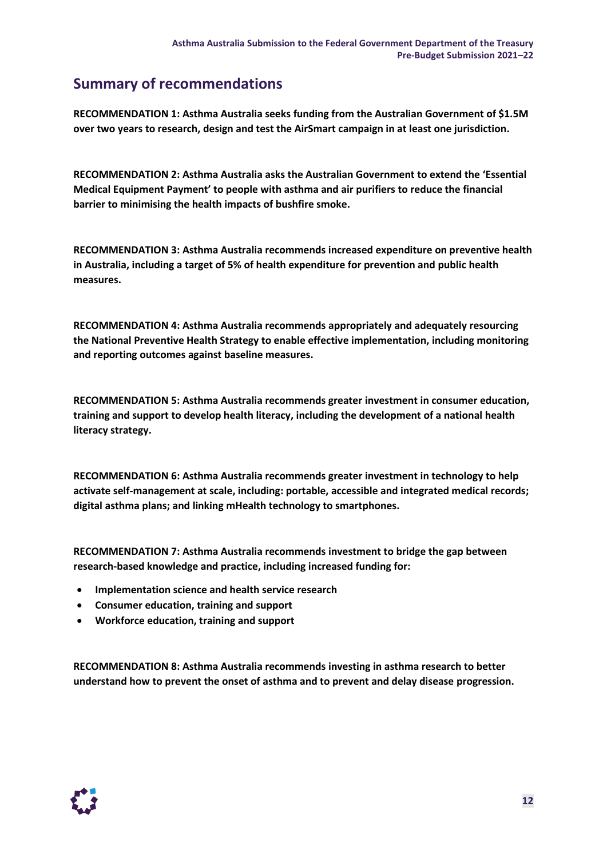### **Summary of recommendations**

**RECOMMENDATION 1: Asthma Australia seeks funding from the Australian Government of \$1.5M over two years to research, design and test the AirSmart campaign in at least one jurisdiction.**

**RECOMMENDATION 2: Asthma Australia asks the Australian Government to extend the 'Essential Medical Equipment Payment' to people with asthma and air purifiers to reduce the financial barrier to minimising the health impacts of bushfire smoke.**

**RECOMMENDATION 3: Asthma Australia recommends increased expenditure on preventive health in Australia, including a target of 5% of health expenditure for prevention and public health measures.**

**RECOMMENDATION 4: Asthma Australia recommends appropriately and adequately resourcing the National Preventive Health Strategy to enable effective implementation, including monitoring and reporting outcomes against baseline measures.**

**RECOMMENDATION 5: Asthma Australia recommends greater investment in consumer education, training and support to develop health literacy, including the development of a national health literacy strategy.**

**RECOMMENDATION 6: Asthma Australia recommends greater investment in technology to help activate self-management at scale, including: portable, accessible and integrated medical records; digital asthma plans; and linking mHealth technology to smartphones.**

**RECOMMENDATION 7: Asthma Australia recommends investment to bridge the gap between research-based knowledge and practice, including increased funding for:** 

- **Implementation science and health service research**
- **Consumer education, training and support**
- **Workforce education, training and support**

**RECOMMENDATION 8: Asthma Australia recommends investing in asthma research to better understand how to prevent the onset of asthma and to prevent and delay disease progression.**

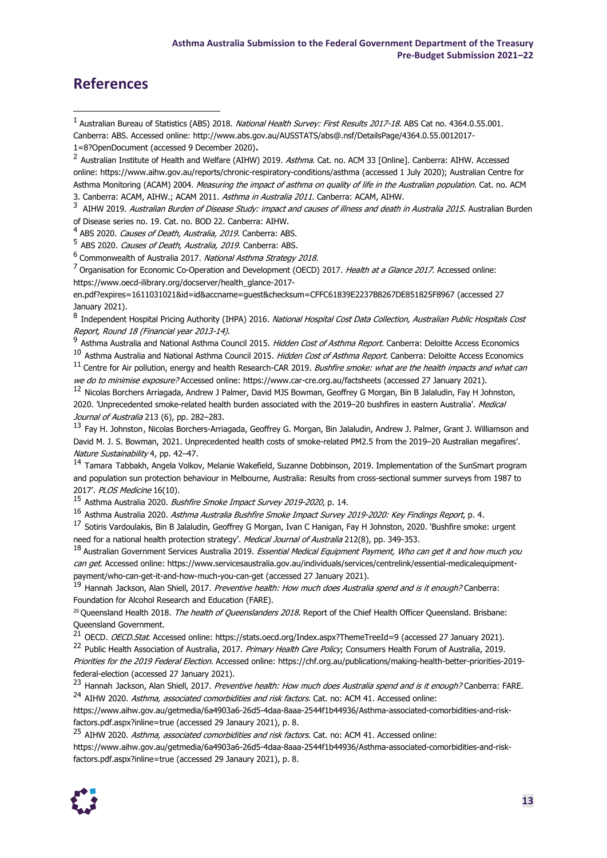### **References**

3 AIHW 2019. Australian Burden of Disease Study: impact and causes of illness and death in Australia 2015. Australian Burden of Disease series no. 19. Cat. no. BOD 22. Canberra: AIHW.

<sup>4</sup> ABS 2020. Causes of Death, Australia, 2019. Canberra: ABS.

<sup>5</sup> ABS 2020. *Causes of Death, Australia, 2019*. Canberra: ABS.

<sup>6</sup> Commonwealth of Australia 2017. National Asthma Strategy 2018.

<sup>7</sup> Organisation for Economic Co-Operation and Development (OECD) 2017. Health at a Glance 2017. Accessed online: [https://www.oecd-ilibrary.org/docserver/health\\_glance-2017-](https://www.oecd-ilibrary.org/docserver/health_glance-2017-en.pdf?expires=1611031021&id=id&accname=guest&checksum=CFFC61839E2237B8267DE851825F8967)

[en.pdf?expires=1611031021&id=id&accname=guest&checksum=CFFC61839E2237B8267DE851825F8967](https://www.oecd-ilibrary.org/docserver/health_glance-2017-en.pdf?expires=1611031021&id=id&accname=guest&checksum=CFFC61839E2237B8267DE851825F8967) (accessed 27 January 2021).

8 Independent Hospital Pricing Authority (IHPA) 2016. National Hospital Cost Data Collection, Australian Public Hospitals Cost Report, Round 18 (Financial year 2013-14).<br>9 Acthma Australia and National Asthma Cou

Asthma Australia and National Asthma Council 2015. *Hidden Cost of Asthma Report*. Canberra: Deloitte Access Economics

Asthma Australia and National Asthma Council 2015. *Hidden Cost of Asthma Report*. Canberra: Deloitte Access Economics  $11$  Centre for Air pollution, energy and health Research-CAR 2019. Bushfire smoke: what are the health impacts and what can

we do to minimise exposure? Accessed online: https://www.car-cre.org.au/factsheets (accessed 27 January 2021). <sup>12</sup> Nicolas Borchers Arriagada, Andrew J Palmer, David MJS Bowman, Geoffrey G Morgan, Bin B Jalaludin, Fay H Johnston,

2020. 'Unprecedented smoke-related health burden associated with the 2019-20 bushfires in eastern Australia'. Medical Journal of Australia 213 (6), pp. 282-283.

<sup>13</sup> Fay H. Johnston, Nicolas Borchers-Arriagada, Geoffrey G. Morgan, Bin Jalaludin, Andrew J. Palmer, Grant J. Williamson and David M. J. S. Bowman,  2021. Unprecedented health costs of smoke-related PM2.5 from the 2019–20 Australian megafires'. Nature Sustainability 4, pp. 42–47.

<sup>14</sup> Tamara Tabbakh, Angela Volkov, Melanie Wakefield, Suzanne Dobbinson, 2019. Implementation of the SunSmart program and population sun protection behaviour in Melbourne, Australia: Results from cross-sectional summer surveys from 1987 to 2017'. PLOS Medicine 16(10).

<sup>15</sup> Asthma Australia 2020. Bushfire Smoke Impact Survey 2019-2020, p. 14.

<sup>16</sup> Asthma Australia 2020. Asthma Australia Bushfire Smoke Impact Survey 2019-2020: Key Findings Report, p. 4.

<sup>17</sup> Sotiris Vardoulakis, Bin B Jalaludin, Geoffrey G Morgan, Ivan C Hanigan, Fay H Johnston, 2020. 'Bushfire smoke: urgent need for a national health protection strategy'. Medical Journal of Australia 212(8), pp. 349-353.

<sup>18</sup> Australian Government Services Australia 2019. Essential Medical Equipment Payment, Who can get it and how much you can get. Accessed online: https://www.servicesaustralia.gov.au/individuals/services/centrelink/essential-medicalequipmentpayment/who-can-get-it-and-how-much-you-can-get (accessed 27 January 2021).

<sup>19</sup> Hannah Jackson, Alan Shiell, 2017. Preventive health: How much does Australia spend and is it enough? Canberra: Foundation for Alcohol Research and Education (FARE).

<sup>20</sup> Queensland Health 2018. The health of Queenslanders 2018. Report of the Chief Health Officer Queensland. Brisbane: Queensland Government.

<sup>21</sup> OECD. *OECD.Stat*. Accessed online: <https://stats.oecd.org/Index.aspx?ThemeTreeId=9> (accessed 27 January 2021).

<sup>22</sup> Public Health Association of Australia, 2017. Primary Health Care Policy; Consumers Health Forum of Australia, 2019. Priorities for the 2019 Federal Election. Accessed online: [https://chf.org.au/publications/making-health-better-priorities-2019](http://www.ginasthma.org/) [federal-election](http://www.ginasthma.org/) (accessed 27 January 2021).

<sup>23</sup> Hannah Jackson, Alan Shiell, 2017. Preventive health: How much does Australia spend and is it enough? Canberra: FARE. <sup>24</sup> AIHW 2020. Asthma, associated comorbidities and risk factors. Cat. no: ACM 41. Accessed online:

https://www.aihw.gov.au/getmedia/6a4903a6-26d5-4daa-8aaa-2544f1b44936/Asthma-associated-comorbidities-and-riskfactors.pdf.aspx?inline=true (accessed 29 Janaury 2021), p. 8.

<sup>25</sup> AIHW 2020. Asthma, associated comorbidities and risk factors. Cat. no: ACM 41. Accessed online:

https://www.aihw.gov.au/getmedia/6a4903a6-26d5-4daa-8aaa-2544f1b44936/Asthma-associated-comorbidities-and-riskfactors.pdf.aspx?inline=true (accessed 29 Janaury 2021), p. 8.



<sup>&</sup>lt;sup>1</sup> Australian Bureau of Statistics (ABS) 2018. National Health Survey: First Results 2017-18. ABS Cat no. 4364.0.55.001. Canberra: ABS. Accessed online: http://www.abs.gov.au/AUSSTATS/abs@.nsf/DetailsPage/4364.0.55.0012017-

<sup>1=8?</sup>OpenDocument (accessed 9 December 2020).

<sup>&</sup>lt;sup>2</sup> Australian Institute of Health and Welfare (AIHW) 2019. Asthma. Cat. no. ACM 33 [Online]. Canberra: AIHW. Accessed online: [https://www.aihw.gov.au/reports/chronic-respiratory-conditions/asthma](https://asthma.org.au/what-we-do/research/our-impact/our-projects/vitamin-d-during-pregnancy-and-infant-respiratory-outcomes-megan-jensen/) (accessed 1 July 2020); Australian Centre for Asthma Monitoring (ACAM) 2004. Measuring the impact of asthma on quality of life in the Australian population. Cat. no. ACM 3. Canberra: ACAM, AIHW.; ACAM 2011. Asthma in Australia 2011. Canberra: ACAM, AIHW.